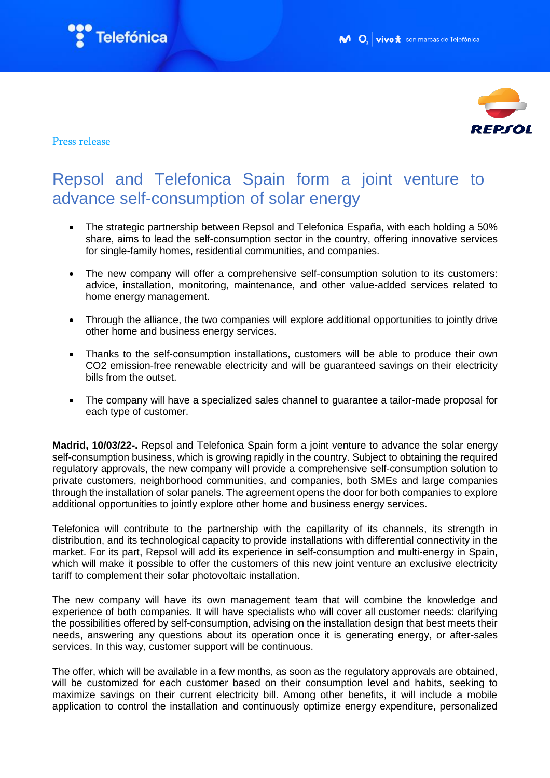



## Press release

## Repsol and Telefonica Spain form a joint venture to advance self-consumption of solar energy

- The strategic partnership between Repsol and Telefonica España, with each holding a 50% share, aims to lead the self-consumption sector in the country, offering innovative services for single-family homes, residential communities, and companies.
- The new company will offer a comprehensive self-consumption solution to its customers: advice, installation, monitoring, maintenance, and other value-added services related to home energy management.
- Through the alliance, the two companies will explore additional opportunities to jointly drive other home and business energy services.
- Thanks to the self-consumption installations, customers will be able to produce their own CO2 emission-free renewable electricity and will be guaranteed savings on their electricity bills from the outset.
- The company will have a specialized sales channel to guarantee a tailor-made proposal for each type of customer.

**Madrid, 10/03/22-.** Repsol and Telefonica Spain form a joint venture to advance the solar energy self-consumption business, which is growing rapidly in the country. Subject to obtaining the required regulatory approvals, the new company will provide a comprehensive self-consumption solution to private customers, neighborhood communities, and companies, both SMEs and large companies through the installation of solar panels. The agreement opens the door for both companies to explore additional opportunities to jointly explore other home and business energy services.

Telefonica will contribute to the partnership with the capillarity of its channels, its strength in distribution, and its technological capacity to provide installations with differential connectivity in the market. For its part, Repsol will add its experience in self-consumption and multi-energy in Spain, which will make it possible to offer the customers of this new joint venture an exclusive electricity tariff to complement their solar photovoltaic installation.

The new company will have its own management team that will combine the knowledge and experience of both companies. It will have specialists who will cover all customer needs: clarifying the possibilities offered by self-consumption, advising on the installation design that best meets their needs, answering any questions about its operation once it is generating energy, or after-sales services. In this way, customer support will be continuous.

The offer, which will be available in a few months, as soon as the regulatory approvals are obtained, will be customized for each customer based on their consumption level and habits, seeking to maximize savings on their current electricity bill. Among other benefits, it will include a mobile application to control the installation and continuously optimize energy expenditure, personalized